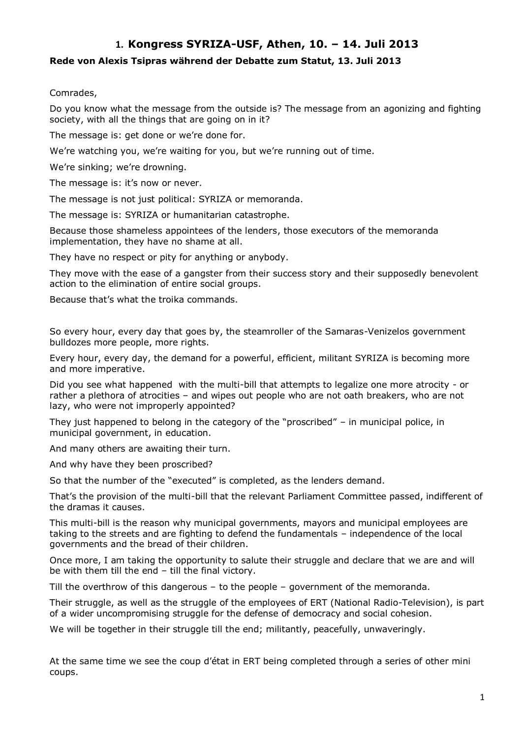# **1. Kongress SYRIZA-USF, Athen, 10. – 14. Juli 2013**

# **Rede von Alexis Tsipras während der Debatte zum Statut, 13. Juli 2013**

### Comrades,

Do you know what the message from the outside is? The message from an agonizing and fighting society, with all the things that are going on in it?

The message is: get done or we're done for.

We're watching you, we're waiting for you, but we're running out of time.

We're sinking; we're drowning.

The message is: it's now or never.

The message is not just political: SYRIZA or memoranda.

The message is: SYRIZA or humanitarian catastrophe.

Because those shameless appointees of the lenders, those executors of the memoranda implementation, they have no shame at all.

They have no respect or pity for anything or anybody.

They move with the ease of a gangster from their success story and their supposedly benevolent action to the elimination of entire social groups.

Because that's what the troika commands.

So every hour, every day that goes by, the steamroller of the Samaras-Venizelos government bulldozes more people, more rights.

Every hour, every day, the demand for a powerful, efficient, militant SYRIZA is becoming more and more imperative.

Did you see what happened with the multi-bill that attempts to legalize one more atrocity - or rather a plethora of atrocities – and wipes out people who are not oath breakers, who are not lazy, who were not improperly appointed?

They just happened to belong in the category of the "proscribed" – in municipal police, in municipal government, in education.

And many others are awaiting their turn.

And why have they been proscribed?

So that the number of the "executed" is completed, as the lenders demand.

That's the provision of the multi-bill that the relevant Parliament Committee passed, indifferent of the dramas it causes.

This multi-bill is the reason why municipal governments, mayors and municipal employees are taking to the streets and are fighting to defend the fundamentals – independence of the local governments and the bread of their children.

Once more, I am taking the opportunity to salute their struggle and declare that we are and will be with them till the end – till the final victory.

Till the overthrow of this dangerous – to the people – government of the memoranda.

Their struggle, as well as the struggle of the employees of ERT (National Radio-Television), is part of a wider uncompromising struggle for the defense of democracy and social cohesion.

We will be together in their struggle till the end; militantly, peacefully, unwaveringly.

At the same time we see the coup d'état in ERT being completed through a series of other mini coups.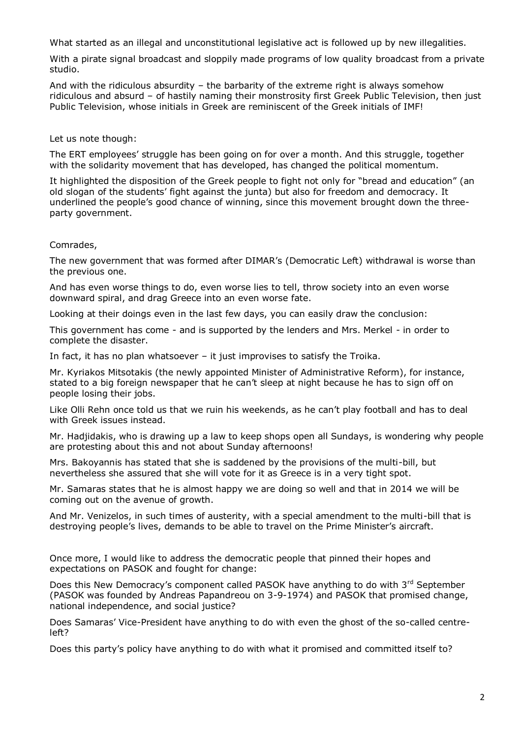What started as an illegal and unconstitutional legislative act is followed up by new illegalities.

With a pirate signal broadcast and sloppily made programs of low quality broadcast from a private studio.

And with the ridiculous absurdity – the barbarity of the extreme right is always somehow ridiculous and absurd – of hastily naming their monstrosity first Greek Public Television, then just Public Television, whose initials in Greek are reminiscent of the Greek initials of IMF!

Let us note though:

The ERT employees' struggle has been going on for over a month. And this struggle, together with the solidarity movement that has developed, has changed the political momentum.

It highlighted the disposition of the Greek people to fight not only for "bread and education" (an old slogan of the students' fight against the junta) but also for freedom and democracy. It underlined the people's good chance of winning, since this movement brought down the threeparty government.

Comrades,

The new government that was formed after DIMAR's (Democratic Left) withdrawal is worse than the previous one.

And has even worse things to do, even worse lies to tell, throw society into an even worse downward spiral, and drag Greece into an even worse fate.

Looking at their doings even in the last few days, you can easily draw the conclusion:

This government has come - and is supported by the lenders and Mrs. Merkel - in order to complete the disaster.

In fact, it has no plan whatsoever – it just improvises to satisfy the Troika.

Mr. Kyriakos Mitsotakis (the newly appointed Minister of Administrative Reform), for instance, stated to a big foreign newspaper that he can't sleep at night because he has to sign off on people losing their jobs.

Like Olli Rehn once told us that we ruin his weekends, as he can't play football and has to deal with Greek issues instead.

Mr. Hadjidakis, who is drawing up a law to keep shops open all Sundays, is wondering why people are protesting about this and not about Sunday afternoons!

Mrs. Bakoyannis has stated that she is saddened by the provisions of the multi-bill, but nevertheless she assured that she will vote for it as Greece is in a very tight spot.

Mr. Samaras states that he is almost happy we are doing so well and that in 2014 we will be coming out on the avenue of growth.

And Mr. Venizelos, in such times of austerity, with a special amendment to the multi-bill that is destroying people's lives, demands to be able to travel on the Prime Minister's aircraft.

Once more, I would like to address the democratic people that pinned their hopes and expectations on PASOK and fought for change:

Does this New Democracy's component called PASOK have anything to do with 3<sup>rd</sup> September (PASOK was founded by Andreas Papandreou on 3-9-1974) and PASOK that promised change, national independence, and social justice?

Does Samaras' Vice-President have anything to do with even the ghost of the so-called centreleft?

Does this party's policy have anything to do with what it promised and committed itself to?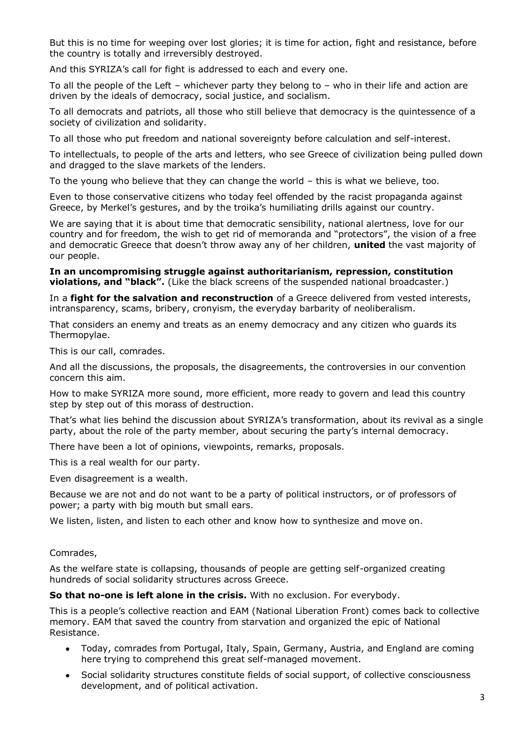But this is no time for weeping over lost glories; it is time for action, fight and resistance, before the country is totally and irreversibly destroyed.

And this SYRIZA's call for fight is addressed to each and every one.

To all the people of the Left – whichever party they belong to – who in their life and action are driven by the ideals of democracy, social justice, and socialism.

To all democrats and patriots, all those who still believe that democracy is the quintessence of a society of civilization and solidarity.

To all those who put freedom and national sovereignty before calculation and self-interest.

To intellectuals, to people of the arts and letters, who see Greece of civilization being pulled down and dragged to the slave markets of the lenders.

To the young who believe that they can change the world – this is what we believe, too.

Even to those conservative citizens who today feel offended by the racist propaganda against Greece, by Merkel's gestures, and by the troika's humiliating drills against our country.

We are saying that it is about time that democratic sensibility, national alertness, love for our country and for freedom, the wish to get rid of memoranda and "protectors", the vision of a free and democratic Greece that doesn't throw away any of her children, **united** the vast majority of our people.

**In an uncompromising struggle against authoritarianism, repression, constitution**  violations, and "black". (Like the black screens of the suspended national broadcaster.)

In a **fight for the salvation and reconstruction** of a Greece delivered from vested interests, intransparency, scams, bribery, cronyism, the everyday barbarity of neoliberalism.

That considers an enemy and treats as an enemy democracy and any citizen who guards its Thermopylae.

This is our call, comrades.

And all the discussions, the proposals, the disagreements, the controversies in our convention concern this aim.

How to make SYRIZA more sound, more efficient, more ready to govern and lead this country step by step out of this morass of destruction.

That's what lies behind the discussion about SYRIZA's transformation, about its revival as a single party, about the role of the party member, about securing the party's internal democracy.

There have been a lot of opinions, viewpoints, remarks, proposals.

This is a real wealth for our party.

Even disagreement is a wealth.

Because we are not and do not want to be a party of political instructors, or of professors of power; a party with big mouth but small ears.

We listen, listen, and listen to each other and know how to synthesize and move on.

#### Comrades,

As the welfare state is collapsing, thousands of people are getting self-organized creating hundreds of social solidarity structures across Greece.

**So that no-one is left alone in the crisis.** With no exclusion. For everybody.

This is a people's collective reaction and EAM (National Liberation Front) comes back to collective memory. EAM that saved the country from starvation and organized the epic of National Resistance.

- Today, comrades from Portugal, Italy, Spain, Germany, Austria, and England are coming here trying to comprehend this great self-managed movement.
- Social solidarity structures constitute fields of social support, of collective consciousness  $\bullet$ development, and of political activation.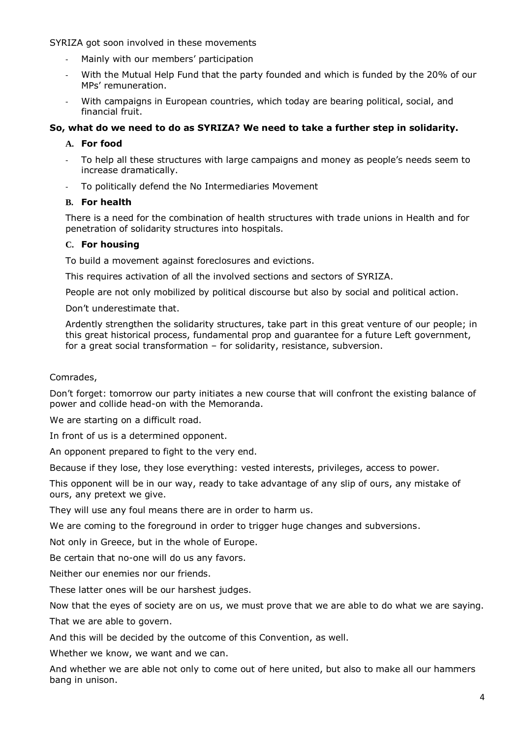SYRIZA got soon involved in these movements

- Mainly with our members' participation
- With the Mutual Help Fund that the party founded and which is funded by the 20% of our MPs' remuneration.
- With campaigns in European countries, which today are bearing political, social, and financial fruit.

# **So, what do we need to do as SYRIZA? We need to take a further step in solidarity.**

# **A. For food**

- To help all these structures with large campaigns and money as people's needs seem to increase dramatically.
- To politically defend the No Intermediaries Movement

# **B. For health**

There is a need for the combination of health structures with trade unions in Health and for penetration of solidarity structures into hospitals.

# **C. For housing**

To build a movement against foreclosures and evictions.

This requires activation of all the involved sections and sectors of SYRIZA.

People are not only mobilized by political discourse but also by social and political action.

Don't underestimate that.

Ardently strengthen the solidarity structures, take part in this great venture of our people; in this great historical process, fundamental prop and guarantee for a future Left government, for a great social transformation – for solidarity, resistance, subversion.

Comrades,

Don't forget: tomorrow our party initiates a new course that will confront the existing balance of power and collide head-on with the Memoranda.

We are starting on a difficult road.

In front of us is a determined opponent.

An opponent prepared to fight to the very end.

Because if they lose, they lose everything: vested interests, privileges, access to power.

This opponent will be in our way, ready to take advantage of any slip of ours, any mistake of ours, any pretext we give.

They will use any foul means there are in order to harm us.

We are coming to the foreground in order to trigger huge changes and subversions.

Not only in Greece, but in the whole of Europe.

Be certain that no-one will do us any favors.

Neither our enemies nor our friends.

These latter ones will be our harshest judges.

Now that the eyes of society are on us, we must prove that we are able to do what we are saying.

That we are able to govern.

And this will be decided by the outcome of this Convention, as well.

Whether we know, we want and we can.

And whether we are able not only to come out of here united, but also to make all our hammers bang in unison.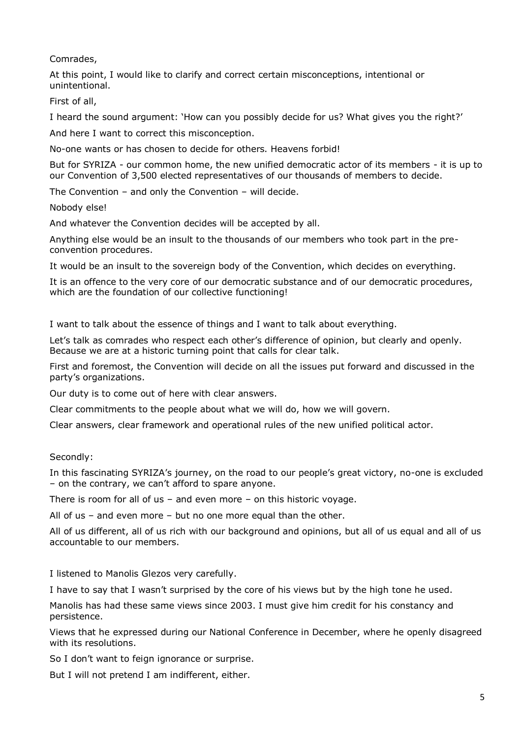Comrades,

At this point, I would like to clarify and correct certain misconceptions, intentional or unintentional.

First of all,

I heard the sound argument: 'How can you possibly decide for us? What gives you the right?'

And here I want to correct this misconception.

No-one wants or has chosen to decide for others. Heavens forbid!

But for SYRIZA - our common home, the new unified democratic actor of its members - it is up to our Convention of 3,500 elected representatives of our thousands of members to decide.

The Convention – and only the Convention – will decide.

Nobody else!

And whatever the Convention decides will be accepted by all.

Anything else would be an insult to the thousands of our members who took part in the preconvention procedures.

It would be an insult to the sovereign body of the Convention, which decides on everything.

It is an offence to the very core of our democratic substance and of our democratic procedures, which are the foundation of our collective functioning!

I want to talk about the essence of things and I want to talk about everything.

Let's talk as comrades who respect each other's difference of opinion, but clearly and openly. Because we are at a historic turning point that calls for clear talk.

First and foremost, the Convention will decide on all the issues put forward and discussed in the party's organizations.

Our duty is to come out of here with clear answers.

Clear commitments to the people about what we will do, how we will govern.

Clear answers, clear framework and operational rules of the new unified political actor.

Secondly:

In this fascinating SYRIZA's journey, on the road to our people's great victory, no-one is excluded – on the contrary, we can't afford to spare anyone.

There is room for all of us – and even more – on this historic voyage.

All of us – and even more – but no one more equal than the other.

All of us different, all of us rich with our background and opinions, but all of us equal and all of us accountable to our members.

I listened to Manolis Glezos very carefully.

I have to say that I wasn't surprised by the core of his views but by the high tone he used.

Manolis has had these same views since 2003. I must give him credit for his constancy and persistence.

Views that he expressed during our National Conference in December, where he openly disagreed with its resolutions.

So I don't want to feign ignorance or surprise.

But I will not pretend I am indifferent, either.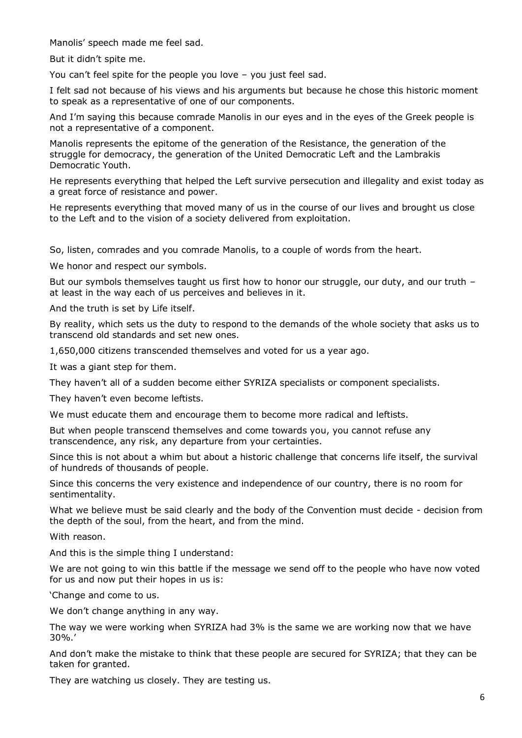Manolis' speech made me feel sad.

But it didn't spite me.

You can't feel spite for the people you love – you just feel sad.

I felt sad not because of his views and his arguments but because he chose this historic moment to speak as a representative of one of our components.

And I'm saying this because comrade Manolis in our eyes and in the eyes of the Greek people is not a representative of a component.

Manolis represents the epitome of the generation of the Resistance, the generation of the struggle for democracy, the generation of the United Democratic Left and the Lambrakis Democratic Youth.

He represents everything that helped the Left survive persecution and illegality and exist today as a great force of resistance and power.

He represents everything that moved many of us in the course of our lives and brought us close to the Left and to the vision of a society delivered from exploitation.

So, listen, comrades and you comrade Manolis, to a couple of words from the heart.

We honor and respect our symbols.

But our symbols themselves taught us first how to honor our struggle, our duty, and our truth at least in the way each of us perceives and believes in it.

And the truth is set by Life itself.

By reality, which sets us the duty to respond to the demands of the whole society that asks us to transcend old standards and set new ones.

1,650,000 citizens transcended themselves and voted for us a year ago.

It was a giant step for them.

They haven't all of a sudden become either SYRIZA specialists or component specialists.

They haven't even become leftists.

We must educate them and encourage them to become more radical and leftists.

But when people transcend themselves and come towards you, you cannot refuse any transcendence, any risk, any departure from your certainties.

Since this is not about a whim but about a historic challenge that concerns life itself, the survival of hundreds of thousands of people.

Since this concerns the very existence and independence of our country, there is no room for sentimentality.

What we believe must be said clearly and the body of the Convention must decide - decision from the depth of the soul, from the heart, and from the mind.

With reason.

And this is the simple thing I understand:

We are not going to win this battle if the message we send off to the people who have now voted for us and now put their hopes in us is:

'Change and come to us.

We don't change anything in any way.

The way we were working when SYRIZA had 3% is the same we are working now that we have 30%.'

And don't make the mistake to think that these people are secured for SYRIZA; that they can be taken for granted.

They are watching us closely. They are testing us.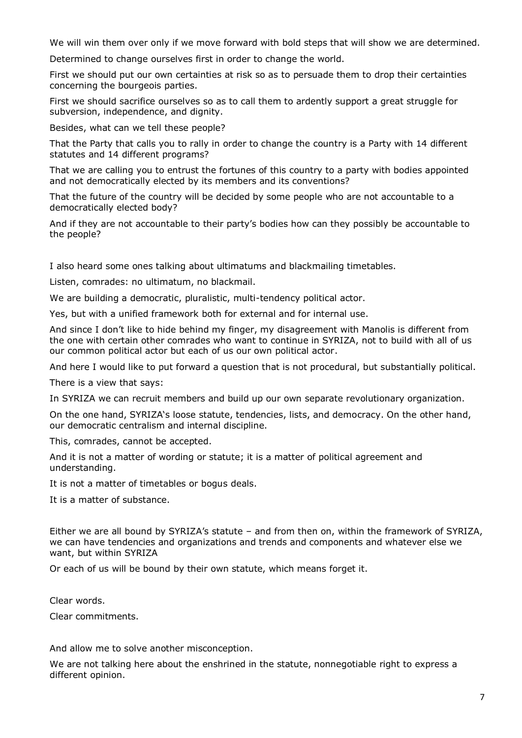We will win them over only if we move forward with bold steps that will show we are determined.

Determined to change ourselves first in order to change the world.

First we should put our own certainties at risk so as to persuade them to drop their certainties concerning the bourgeois parties.

First we should sacrifice ourselves so as to call them to ardently support a great struggle for subversion, independence, and dignity.

Besides, what can we tell these people?

That the Party that calls you to rally in order to change the country is a Party with 14 different statutes and 14 different programs?

That we are calling you to entrust the fortunes of this country to a party with bodies appointed and not democratically elected by its members and its conventions?

That the future of the country will be decided by some people who are not accountable to a democratically elected body?

And if they are not accountable to their party's bodies how can they possibly be accountable to the people?

I also heard some ones talking about ultimatums and blackmailing timetables.

Listen, comrades: no ultimatum, no blackmail.

We are building a democratic, pluralistic, multi-tendency political actor.

Yes, but with a unified framework both for external and for internal use.

And since I don't like to hide behind my finger, my disagreement with Manolis is different from the one with certain other comrades who want to continue in SYRIZA, not to build with all of us our common political actor but each of us our own political actor.

And here I would like to put forward a question that is not procedural, but substantially political.

There is a view that says:

In SYRIZA we can recruit members and build up our own separate revolutionary organization.

On the one hand, SYRIZA's loose statute, tendencies, lists, and democracy. On the other hand, our democratic centralism and internal discipline.

This, comrades, cannot be accepted.

And it is not a matter of wording or statute; it is a matter of political agreement and understanding.

It is not a matter of timetables or bogus deals.

It is a matter of substance.

Either we are all bound by SYRIZA's statute – and from then on, within the framework of SYRIZA, we can have tendencies and organizations and trends and components and whatever else we want, but within SYRIZA

Or each of us will be bound by their own statute, which means forget it.

Clear words.

Clear commitments.

And allow me to solve another misconception.

We are not talking here about the enshrined in the statute, nonnegotiable right to express a different opinion.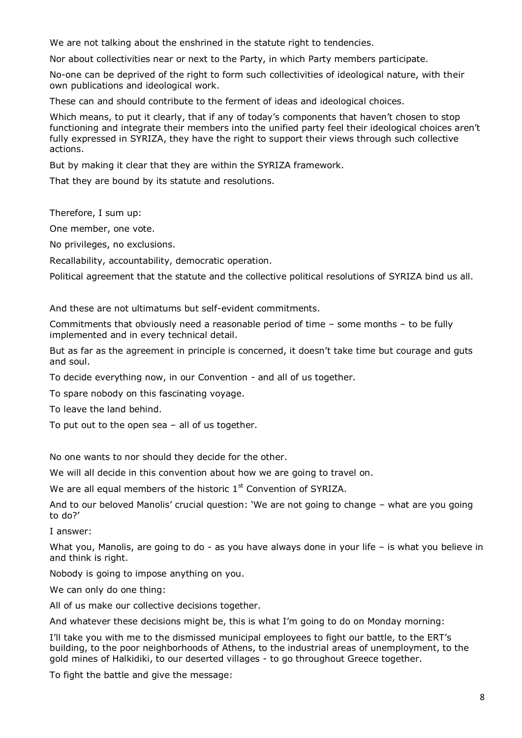We are not talking about the enshrined in the statute right to tendencies.

Nor about collectivities near or next to the Party, in which Party members participate.

No-one can be deprived of the right to form such collectivities of ideological nature, with their own publications and ideological work.

These can and should contribute to the ferment of ideas and ideological choices.

Which means, to put it clearly, that if any of today's components that haven't chosen to stop functioning and integrate their members into the unified party feel their ideological choices aren't fully expressed in SYRIZA, they have the right to support their views through such collective actions.

But by making it clear that they are within the SYRIZA framework.

That they are bound by its statute and resolutions.

Therefore, I sum up:

One member, one vote.

No privileges, no exclusions.

Recallability, accountability, democratic operation.

Political agreement that the statute and the collective political resolutions of SYRIZA bind us all.

And these are not ultimatums but self-evident commitments.

Commitments that obviously need a reasonable period of time – some months – to be fully implemented and in every technical detail.

But as far as the agreement in principle is concerned, it doesn't take time but courage and guts and soul.

To decide everything now, in our Convention - and all of us together.

To spare nobody on this fascinating voyage.

To leave the land behind.

To put out to the open sea – all of us together.

No one wants to nor should they decide for the other.

We will all decide in this convention about how we are going to travel on.

We are all equal members of the historic  $1<sup>st</sup>$  Convention of SYRIZA.

And to our beloved Manolis' crucial question: 'We are not going to change – what are you going to do?'

I answer:

What you, Manolis, are going to do - as you have always done in your life – is what you believe in and think is right.

Nobody is going to impose anything on you.

We can only do one thing:

All of us make our collective decisions together.

And whatever these decisions might be, this is what I'm going to do on Monday morning:

I'll take you with me to the dismissed municipal employees to fight our battle, to the ERT's building, to the poor neighborhoods of Athens, to the industrial areas of unemployment, to the gold mines of Halkidiki, to our deserted villages - to go throughout Greece together.

To fight the battle and give the message: